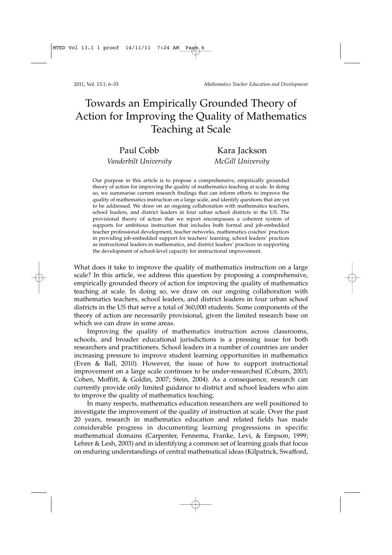2011, Vol. 13.1, 6–33 *Mathematics Teacher Education and Development*

# Towards an Empirically Grounded Theory of Action for Improving the Quality of Mathematics Teaching at Scale

Paul Cobb Kara Jackson

*Vanderbilt University McGill University* 

Our purpose in this article is to propose a comprehensive, empirically grounded theory of action for improving the quality of mathematics teaching at scale. In doing so, we summarise current research findings that can inform efforts to improve the quality of mathematics instruction on a large scale, and identify questions that are yet to be addressed. We draw on an ongoing collaboration with mathematics teachers, school leaders, and district leaders in four urban school districts in the US. The provisional theory of action that we report encompasses a coherent system of supports for ambitious instruction that includes both formal and job-embedded teacher professional development, teacher networks, mathematics coaches' practices in providing job-embedded support for teachers' learning, school leaders' practices as instructional leaders in mathematics, and district leaders' practices in supporting the development of school-level capacity for instructional improvement.

What does it take to improve the quality of mathematics instruction on a large scale? In this article, we address this question by proposing a comprehensive, empirically grounded theory of action for improving the quality of mathematics teaching at scale. In doing so, we draw on our ongoing collaboration with mathematics teachers, school leaders, and district leaders in four urban school districts in the US that serve a total of 360,000 students. Some components of the theory of action are necessarily provisional, given the limited research base on which we can draw in some areas.

Improving the quality of mathematics instruction across classrooms, schools, and broader educational jurisdictions is a pressing issue for both researchers and practitioners. School leaders in a number of countries are under increasing pressure to improve student learning opportunities in mathematics (Even & Ball, 2010). However, the issue of how to support instructional improvement on a large scale continues to be under-researched (Coburn, 2003; Cohen, Moffitt, & Goldin, 2007; Stein, 2004). As a consequence, research can currently provide only limited guidance to district and school leaders who aim to improve the quality of mathematics teaching.

In many respects, mathematics education researchers are well positioned to investigate the improvement of the quality of instruction at scale. Over the past 20 years, research in mathematics education and related fields has made considerable progress in documenting learning progressions in specific mathematical domains (Carpenter, Fennema, Franke, Levi, & Empson, 1999; Lehrer & Lesh, 2003) and in identifying a common set of learning goals that focus on enduring understandings of central mathematical ideas (Kilpatrick, Swafford,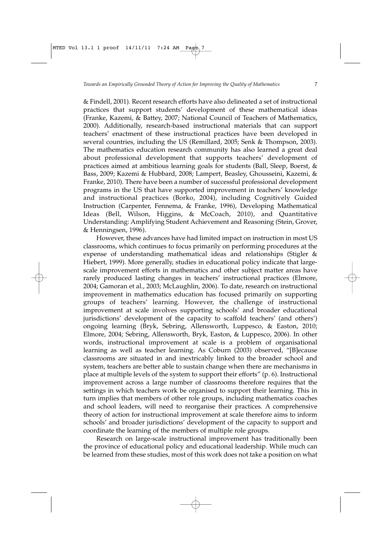& Findell, 2001). Recent research efforts have also delineated a set of instructional practices that support students' development of these mathematical ideas (Franke, Kazemi, & Battey, 2007; National Council of Teachers of Mathematics, 2000). Additionally, research-based instructional materials that can support teachers' enactment of these instructional practices have been developed in several countries, including the US (Remillard, 2005; Senk & Thompson, 2003). The mathematics education research community has also learned a great deal about professional development that supports teachers' development of practices aimed at ambitious learning goals for students (Ball, Sleep, Boerst, & Bass, 2009; Kazemi & Hubbard, 2008; Lampert, Beasley, Ghousseini, Kazemi, & Franke, 2010). There have been a number of successful professional development programs in the US that have supported improvement in teachers' knowledge and instructional practices (Borko, 2004), including Cognitively Guided Instruction (Carpenter, Fennema, & Franke, 1996), Developing Mathematical Ideas (Bell, Wilson, Higgins, & McCoach, 2010), and Quantitative Understanding: Amplifying Student Achievement and Reasoning (Stein, Grover, & Henningsen, 1996).

However, these advances have had limited impact on instruction in most US classrooms, which continues to focus primarily on performing procedures at the expense of understanding mathematical ideas and relationships (Stigler & Hiebert, 1999). More generally, studies in educational policy indicate that largescale improvement efforts in mathematics and other subject matter areas have rarely produced lasting changes in teachers' instructional practices (Elmore, 2004; Gamoran et al., 2003; McLaughlin, 2006). To date, research on instructional improvement in mathematics education has focused primarily on supporting groups of teachers' learning. However, the challenge of instructional improvement at scale involves supporting schools' and broader educational jurisdictions' development of the capacity to scaffold teachers' (and others') ongoing learning (Bryk, Sebring, Allensworth, Luppesco, & Easton, 2010; Elmore, 2004; Sebring, Allensworth, Bryk, Easton, & Luppesco, 2006). In other words, instructional improvement at scale is a problem of organisational learning as well as teacher learning. As Coburn (2003) observed, "[B]ecause classrooms are situated in and inextricably linked to the broader school and system, teachers are better able to sustain change when there are mechanisms in place at multiple levels of the system to support their efforts" (p. 6). Instructional improvement across a large number of classrooms therefore requires that the settings in which teachers work be organised to support their learning. This in turn implies that members of other role groups, including mathematics coaches and school leaders, will need to reorganise their practices. A comprehensive theory of action for instructional improvement at scale therefore aims to inform schools' and broader jurisdictions' development of the capacity to support and coordinate the learning of the members of multiple role groups.

Research on large-scale instructional improvement has traditionally been the province of educational policy and educational leadership. While much can be learned from these studies, most of this work does not take a position on what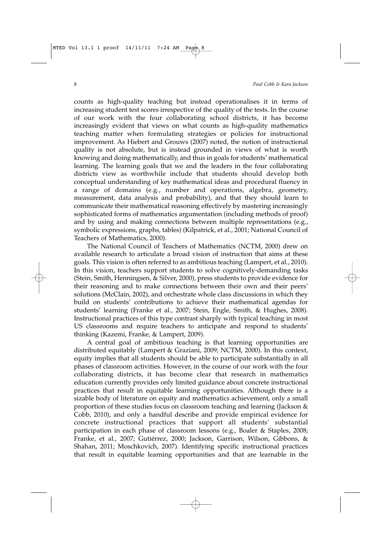counts as high-quality teaching but instead operationalises it in terms of increasing student test scores irrespective of the quality of the tests. In the course of our work with the four collaborating school districts, it has become increasingly evident that views on what counts as high-quality mathematics teaching matter when formulating strategies or policies for instructional improvement. As Hiebert and Grouws (2007) noted, the notion of instructional quality is not absolute, but is instead grounded in views of what is worth knowing and doing mathematically, and thus in goals for students' mathematical learning. The learning goals that we and the leaders in the four collaborating districts view as worthwhile include that students should develop both conceptual understanding of key mathematical ideas and procedural fluency in a range of domains (e.g., number and operations, algebra, geometry, measurement, data analysis and probability), and that they should learn to communicate their mathematical reasoning effectively by mastering increasingly sophisticated forms of mathematics argumentation (including methods of proof) and by using and making connections between multiple representations (e.g., symbolic expressions, graphs, tables) (Kilpatrick, et al., 2001; National Council of Teachers of Mathematics, 2000).

The National Council of Teachers of Mathematics (NCTM, 2000) drew on available research to articulate a broad vision of instruction that aims at these goals. This vision is often referred to as ambitious teaching (Lampert, et al., 2010). In this vision, teachers support students to solve cognitively-demanding tasks (Stein, Smith, Henningsen, & Silver, 2000), press students to provide evidence for their reasoning and to make connections between their own and their peers' solutions (McClain, 2002), and orchestrate whole class discussions in which they build on students' contributions to achieve their mathematical agendas for students' learning (Franke et al., 2007; Stein, Engle, Smith, & Hughes, 2008). Instructional practices of this type contrast sharply with typical teaching in most US classrooms and require teachers to anticipate and respond to students' thinking (Kazemi, Franke, & Lampert, 2009).

A central goal of ambitious teaching is that learning opportunities are distributed equitably (Lampert & Graziani, 2009; NCTM, 2000). In this context, equity implies that all students should be able to participate substantially in all phases of classroom activities. However, in the course of our work with the four collaborating districts, it has become clear that research in mathematics education currently provides only limited guidance about concrete instructional practices that result in equitable learning opportunities. Although there is a sizable body of literature on equity and mathematics achievement, only a small proportion of these studies focus on classroom teaching and learning (Jackson & Cobb, 2010), and only a handful describe and provide empirical evidence for concrete instructional practices that support all students' substantial participation in each phase of classroom lessons (e.g., Boaler & Staples, 2008; Franke, et al., 2007; Gutiérrez, 2000; Jackson, Garrison, Wilson, Gibbons, & Shahan, 2011; Moschkovich, 2007). Identifying specific instructional practices that result in equitable learning opportunities and that are learnable in the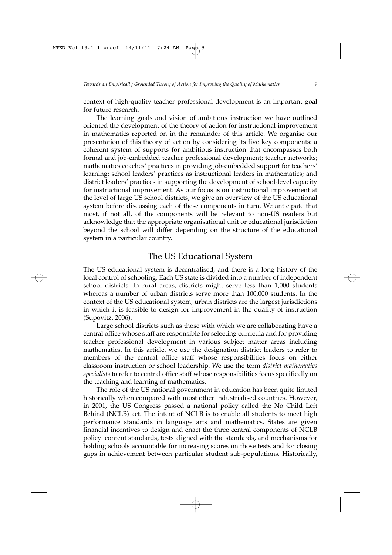context of high-quality teacher professional development is an important goal for future research.

The learning goals and vision of ambitious instruction we have outlined oriented the development of the theory of action for instructional improvement in mathematics reported on in the remainder of this article. We organise our presentation of this theory of action by considering its five key components: a coherent system of supports for ambitious instruction that encompasses both formal and job-embedded teacher professional development; teacher networks; mathematics coaches' practices in providing job-embedded support for teachers' learning; school leaders' practices as instructional leaders in mathematics; and district leaders' practices in supporting the development of school-level capacity for instructional improvement. As our focus is on instructional improvement at the level of large US school districts, we give an overview of the US educational system before discussing each of these components in turn. We anticipate that most, if not all, of the components will be relevant to non-US readers but acknowledge that the appropriate organisational unit or educational jurisdiction beyond the school will differ depending on the structure of the educational system in a particular country.

### The US Educational System

The US educational system is decentralised, and there is a long history of the local control of schooling. Each US state is divided into a number of independent school districts. In rural areas, districts might serve less than 1,000 students whereas a number of urban districts serve more than 100,000 students. In the context of the US educational system, urban districts are the largest jurisdictions in which it is feasible to design for improvement in the quality of instruction (Supovitz, 2006).

Large school districts such as those with which we are collaborating have a central office whose staff are responsible for selecting curricula and for providing teacher professional development in various subject matter areas including mathematics. In this article, we use the designation district leaders to refer to members of the central office staff whose responsibilities focus on either classroom instruction or school leadership. We use the term *district mathematics specialists* to refer to central office staff whose responsibilities focus specifically on the teaching and learning of mathematics.

The role of the US national government in education has been quite limited historically when compared with most other industrialised countries. However, in 2001, the US Congress passed a national policy called the No Child Left Behind (NCLB) act. The intent of NCLB is to enable all students to meet high performance standards in language arts and mathematics. States are given financial incentives to design and enact the three central components of NCLB policy: content standards, tests aligned with the standards, and mechanisms for holding schools accountable for increasing scores on those tests and for closing gaps in achievement between particular student sub-populations. Historically,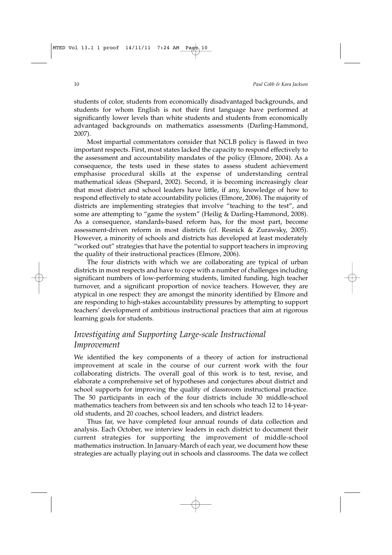students of color, students from economically disadvantaged backgrounds, and students for whom English is not their first language have performed at significantly lower levels than white students and students from economically advantaged backgrounds on mathematics assessments (Darling-Hammond, 2007).

Most impartial commentators consider that NCLB policy is flawed in two important respects. First, most states lacked the capacity to respond effectively to the assessment and accountability mandates of the policy (Elmore, 2004). As a consequence, the tests used in these states to assess student achievement emphasise procedural skills at the expense of understanding central mathematical ideas (Shepard, 2002). Second, it is becoming increasingly clear that most district and school leaders have little, if any, knowledge of how to respond effectively to state accountability policies (Elmore, 2006). The majority of districts are implementing strategies that involve "teaching to the test", and some are attempting to "game the system" (Heilig & Darling-Hammond, 2008). As a consequence, standards-based reform has, for the most part, become assessment-driven reform in most districts (cf. Resnick & Zurawsky, 2005). However, a minority of schools and districts has developed at least moderately "worked out" strategies that have the potential to support teachers in improving the quality of their instructional practices (Elmore, 2006).

The four districts with which we are collaborating are typical of urban districts in most respects and have to cope with a number of challenges including significant numbers of low-performing students, limited funding, high teacher turnover, and a significant proportion of novice teachers. However, they are atypical in one respect: they are amongst the minority identified by Elmore and are responding to high-stakes accountability pressures by attempting to support teachers' development of ambitious instructional practices that aim at rigorous learning goals for students.

### *Investigating and Supporting Large-scale Instructional Improvement*

We identified the key components of a theory of action for instructional improvement at scale in the course of our current work with the four collaborating districts. The overall goal of this work is to test, revise, and elaborate a comprehensive set of hypotheses and conjectures about district and school supports for improving the quality of classroom instructional practice. The 50 participants in each of the four districts include 30 middle-school mathematics teachers from between six and ten schools who teach 12 to 14-yearold students, and 20 coaches, school leaders, and district leaders.

Thus far, we have completed four annual rounds of data collection and analysis. Each October, we interview leaders in each district to document their current strategies for supporting the improvement of middle-school mathematics instruction. In January-March of each year, we document how these strategies are actually playing out in schools and classrooms. The data we collect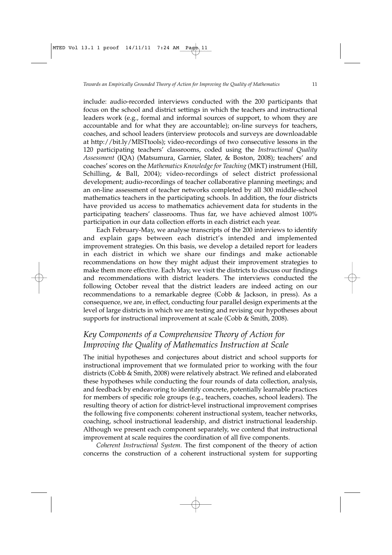include: audio-recorded interviews conducted with the 200 participants that focus on the school and district settings in which the teachers and instructional leaders work (e.g., formal and informal sources of support, to whom they are accountable and for what they are accountable); on-line surveys for teachers, coaches, and school leaders (interview protocols and surveys are downloadable at http://bit.ly/MISTtools); video-recordings of two consecutive lessons in the 120 participating teachers' classrooms, coded using the *Instructional Quality Assessment* (IQA) (Matsumura, Garnier, Slater, & Boston, 2008); teachers' and coaches' scores on the *Mathematics Knowledge for Teaching* (MKT) instrument (Hill, Schilling, & Ball, 2004); video-recordings of select district professional development; audio-recordings of teacher collaborative planning meetings; and an on-line assessment of teacher networks completed by all 300 middle-school mathematics teachers in the participating schools. In addition, the four districts have provided us access to mathematics achievement data for students in the participating teachers' classrooms. Thus far, we have achieved almost 100% participation in our data collection efforts in each district each year.

Each February-May, we analyse transcripts of the 200 interviews to identify and explain gaps between each district's intended and implemented improvement strategies. On this basis, we develop a detailed report for leaders in each district in which we share our findings and make actionable recommendations on how they might adjust their improvement strategies to make them more effective. Each May, we visit the districts to discuss our findings and recommendations with district leaders. The interviews conducted the following October reveal that the district leaders are indeed acting on our recommendations to a remarkable degree (Cobb & Jackson, in press). As a consequence, we are, in effect, conducting four parallel design experiments at the level of large districts in which we are testing and revising our hypotheses about supports for instructional improvement at scale (Cobb & Smith, 2008).

## *Key Components of a Comprehensive Theory of Action for Improving the Quality of Mathematics Instruction at Scale*

The initial hypotheses and conjectures about district and school supports for instructional improvement that we formulated prior to working with the four districts (Cobb & Smith, 2008) were relatively abstract. We refined and elaborated these hypotheses while conducting the four rounds of data collection, analysis, and feedback by endeavoring to identify concrete, potentially learnable practices for members of specific role groups (e.g., teachers, coaches, school leaders). The resulting theory of action for district-level instructional improvement comprises the following five components: coherent instructional system, teacher networks, coaching, school instructional leadership, and district instructional leadership. Although we present each component separately, we contend that instructional improvement at scale requires the coordination of all five components.

*Coherent Instructional System*. The first component of the theory of action concerns the construction of a coherent instructional system for supporting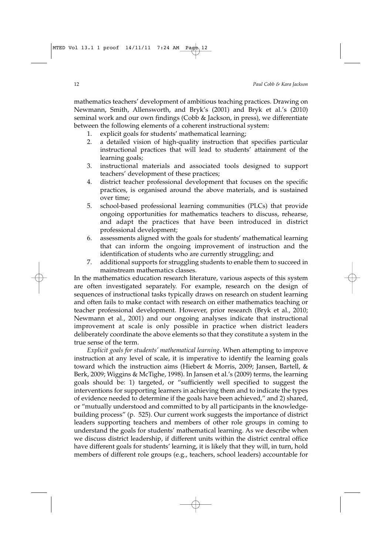mathematics teachers' development of ambitious teaching practices. Drawing on Newmann, Smith, Allensworth, and Bryk's (2001) and Bryk et al.'s (2010) seminal work and our own findings (Cobb & Jackson, in press), we differentiate between the following elements of a coherent instructional system:

- 1. explicit goals for students' mathematical learning;
- 2. a detailed vision of high-quality instruction that specifies particular instructional practices that will lead to students' attainment of the learning goals;
- 3. instructional materials and associated tools designed to support teachers' development of these practices;
- 4. district teacher professional development that focuses on the specific practices, is organised around the above materials, and is sustained over time;
- 5. school-based professional learning communities (PLCs) that provide ongoing opportunities for mathematics teachers to discuss, rehearse, and adapt the practices that have been introduced in district professional development;
- 6. assessments aligned with the goals for students' mathematical learning that can inform the ongoing improvement of instruction and the identification of students who are currently struggling; and
- 7. additional supports for struggling students to enable them to succeed in mainstream mathematics classes.

In the mathematics education research literature, various aspects of this system are often investigated separately. For example, research on the design of sequences of instructional tasks typically draws on research on student learning and often fails to make contact with research on either mathematics teaching or teacher professional development. However, prior research (Bryk et al., 2010; Newmann et al., 2001) and our ongoing analyses indicate that instructional improvement at scale is only possible in practice when district leaders deliberately coordinate the above elements so that they constitute a system in the true sense of the term.

*Explicit goals for students' mathematical learning*. When attempting to improve instruction at any level of scale, it is imperative to identify the learning goals toward which the instruction aims (Hiebert & Morris, 2009; Jansen, Bartell, & Berk, 2009; Wiggins & McTighe, 1998). In Jansen et al.'s (2009) terms, the learning goals should be: 1) targeted, or "sufficiently well specified to suggest the interventions for supporting learners in achieving them and to indicate the types of evidence needed to determine if the goals have been achieved," and 2) shared, or "mutually understood and committed to by all participants in the knowledgebuilding process" (p. 525). Our current work suggests the importance of district leaders supporting teachers and members of other role groups in coming to understand the goals for students' mathematical learning. As we describe when we discuss district leadership, if different units within the district central office have different goals for students' learning, it is likely that they will, in turn, hold members of different role groups (e.g., teachers, school leaders) accountable for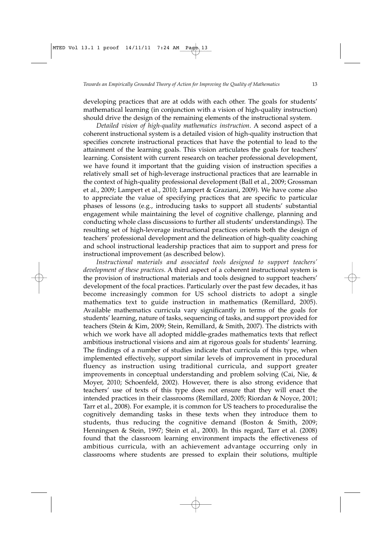developing practices that are at odds with each other. The goals for students' mathematical learning (in conjunction with a vision of high-quality instruction) should drive the design of the remaining elements of the instructional system.

*Detailed vision of high-quality mathematics instruction*. A second aspect of a coherent instructional system is a detailed vision of high-quality instruction that specifies concrete instructional practices that have the potential to lead to the attainment of the learning goals. This vision articulates the goals for teachers' learning. Consistent with current research on teacher professional development, we have found it important that the guiding vision of instruction specifies a relatively small set of high-leverage instructional practices that are learnable in the context of high-quality professional development (Ball et al., 2009; Grossman et al., 2009; Lampert et al., 2010; Lampert & Graziani, 2009). We have come also to appreciate the value of specifying practices that are specific to particular phases of lessons (e.g., introducing tasks to support all students' substantial engagement while maintaining the level of cognitive challenge, planning and conducting whole class discussions to further all students' understandings). The resulting set of high-leverage instructional practices orients both the design of teachers' professional development and the delineation of high-quality coaching and school instructional leadership practices that aim to support and press for instructional improvement (as described below).

*Instructional materials and associated tools designed to support teachers' development of these practices*. A third aspect of a coherent instructional system is the provision of instructional materials and tools designed to support teachers' development of the focal practices. Particularly over the past few decades, it has become increasingly common for US school districts to adopt a single mathematics text to guide instruction in mathematics (Remillard, 2005). Available mathematics curricula vary significantly in terms of the goals for students' learning, nature of tasks, sequencing of tasks, and support provided for teachers (Stein & Kim, 2009; Stein, Remillard, & Smith, 2007). The districts with which we work have all adopted middle-grades mathematics texts that reflect ambitious instructional visions and aim at rigorous goals for students' learning. The findings of a number of studies indicate that curricula of this type, when implemented effectively, support similar levels of improvement in procedural fluency as instruction using traditional curricula, and support greater improvements in conceptual understanding and problem solving (Cai, Nie, & Moyer, 2010; Schoenfeld, 2002). However, there is also strong evidence that teachers' use of texts of this type does not ensure that they will enact the intended practices in their classrooms (Remillard, 2005; Riordan & Noyce, 2001; Tarr et al., 2008). For example, it is common for US teachers to proceduralise the cognitively demanding tasks in these texts when they introduce them to students, thus reducing the cognitive demand (Boston & Smith, 2009; Henningsen & Stein, 1997; Stein et al., 2000). In this regard, Tarr et al. (2008) found that the classroom learning environment impacts the effectiveness of ambitious curricula, with an achievement advantage occurring only in classrooms where students are pressed to explain their solutions, multiple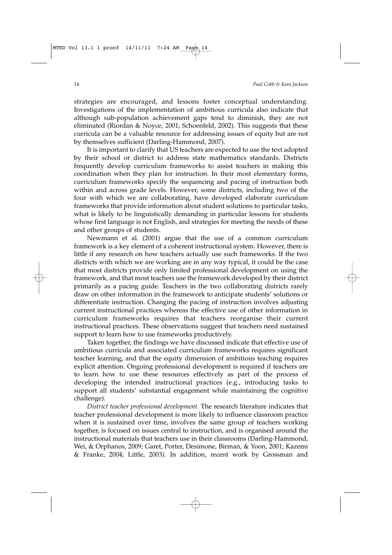strategies are encouraged, and lessons foster conceptual understanding. Investigations of the implementation of ambitious curricula also indicate that although sub-population achievement gaps tend to diminish, they are not eliminated (Riordan & Noyce, 2001; Schoenfeld, 2002). This suggests that these curricula can be a valuable resource for addressing issues of equity but are not by themselves sufficient (Darling-Hammond, 2007).

It is important to clarify that US teachers are expected to use the text adopted by their school or district to address state mathematics standards. Districts frequently develop curriculum frameworks to assist teachers in making this coordination when they plan for instruction. In their most elementary forms, curriculum frameworks specify the sequencing and pacing of instruction both within and across grade levels. However, some districts, including two of the four with which we are collaborating, have developed elaborate curriculum frameworks that provide information about student solutions to particular tasks, what is likely to be linguistically demanding in particular lessons for students whose first language is not English, and strategies for meeting the needs of these and other groups of students.

Newmann et al. (2001) argue that the use of a common curriculum framework is a key element of a coherent instructional system. However, there is little if any research on how teachers actually use such frameworks. If the two districts with which we are working are in any way typical, it could be the case that most districts provide only limited professional development on using the framework, and that most teachers use the framework developed by their district primarily as a pacing guide. Teachers in the two collaborating districts rarely draw on other information in the framework to anticipate students' solutions or differentiate instruction. Changing the pacing of instruction involves adjusting current instructional practices whereas the effective use of other information in curriculum frameworks requires that teachers reorganise their current instructional practices. These observations suggest that teachers need sustained support to learn how to use frameworks productively.

Taken together, the findings we have discussed indicate that effective use of ambitious curricula and associated curriculum frameworks requires significant teacher learning, and that the equity dimension of ambitious teaching requires explicit attention. Ongoing professional development is required if teachers are to learn how to use these resources effectively as part of the process of developing the intended instructional practices (e.g., introducing tasks to support all students' substantial engagement while maintaining the cognitive challenge).

*District teacher professional development*. The research literature indicates that teacher professional development is more likely to influence classroom practice when it is sustained over time, involves the same group of teachers working together, is focused on issues central to instruction, and is organised around the instructional materials that teachers use in their classrooms (Darling-Hammond, Wei, & Orphanos, 2009; Garet, Porter, Desimone, Birman, & Yoon, 2001; Kazemi & Franke, 2004; Little, 2003). In addition, recent work by Grossman and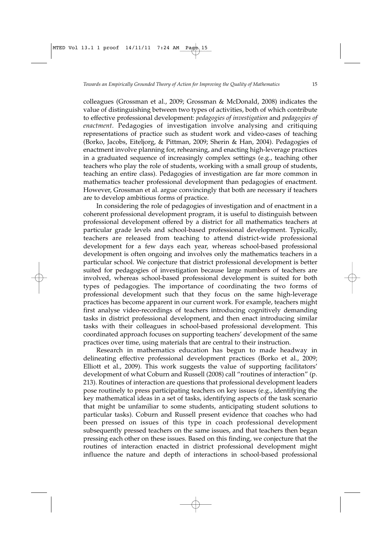colleagues (Grossman et al., 2009; Grossman & McDonald, 2008) indicates the value of distinguishing between two types of activities, both of which contribute to effective professional development: *pedagogies of investigation* and *pedagogies of enactment*. Pedagogies of investigation involve analysing and critiquing representations of practice such as student work and video-cases of teaching (Borko, Jacobs, Eiteljorg, & Pittman, 2009; Sherin & Han, 2004). Pedagogies of enactment involve planning for, rehearsing, and enacting high-leverage practices in a graduated sequence of increasingly complex settings (e.g., teaching other teachers who play the role of students, working with a small group of students, teaching an entire class). Pedagogies of investigation are far more common in mathematics teacher professional development than pedagogies of enactment. However, Grossman et al. argue convincingly that both are necessary if teachers are to develop ambitious forms of practice.

In considering the role of pedagogies of investigation and of enactment in a coherent professional development program, it is useful to distinguish between professional development offered by a district for all mathematics teachers at particular grade levels and school-based professional development. Typically, teachers are released from teaching to attend district-wide professional development for a few days each year, whereas school-based professional development is often ongoing and involves only the mathematics teachers in a particular school. We conjecture that district professional development is better suited for pedagogies of investigation because large numbers of teachers are involved, whereas school-based professional development is suited for both types of pedagogies. The importance of coordinating the two forms of professional development such that they focus on the same high-leverage practices has become apparent in our current work. For example, teachers might first analyse video-recordings of teachers introducing cognitively demanding tasks in district professional development, and then enact introducing similar tasks with their colleagues in school-based professional development. This coordinated approach focuses on supporting teachers' development of the same practices over time, using materials that are central to their instruction.

Research in mathematics education has begun to made headway in delineating effective professional development practices (Borko et al., 2009; Elliott et al., 2009). This work suggests the value of supporting facilitators' development of what Coburn and Russell (2008) call "routines of interaction" (p. 213). Routines of interaction are questions that professional development leaders pose routinely to press participating teachers on key issues (e.g., identifying the key mathematical ideas in a set of tasks, identifying aspects of the task scenario that might be unfamiliar to some students, anticipating student solutions to particular tasks). Coburn and Russell present evidence that coaches who had been pressed on issues of this type in coach professional development subsequently pressed teachers on the same issues, and that teachers then began pressing each other on these issues. Based on this finding, we conjecture that the routines of interaction enacted in district professional development might influence the nature and depth of interactions in school-based professional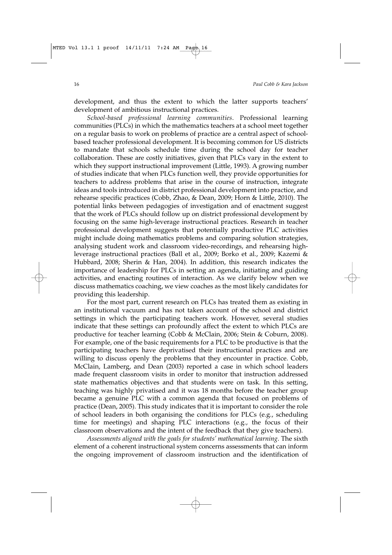development, and thus the extent to which the latter supports teachers' development of ambitious instructional practices.

*School-based professional learning communities*. Professional learning communities (PLCs) in which the mathematics teachers at a school meet together on a regular basis to work on problems of practice are a central aspect of schoolbased teacher professional development. It is becoming common for US districts to mandate that schools schedule time during the school day for teacher collaboration. These are costly initiatives, given that PLCs vary in the extent to which they support instructional improvement (Little, 1993). A growing number of studies indicate that when PLCs function well, they provide opportunities for teachers to address problems that arise in the course of instruction, integrate ideas and tools introduced in district professional development into practice, and rehearse specific practices (Cobb, Zhao, & Dean, 2009; Horn & Little, 2010). The potential links between pedagogies of investigation and of enactment suggest that the work of PLCs should follow up on district professional development by focusing on the same high-leverage instructional practices. Research in teacher professional development suggests that potentially productive PLC activities might include doing mathematics problems and comparing solution strategies, analysing student work and classroom video-recordings, and rehearsing highleverage instructional practices (Ball et al., 2009; Borko et al., 2009; Kazemi & Hubbard, 2008; Sherin & Han, 2004). In addition, this research indicates the importance of leadership for PLCs in setting an agenda, initiating and guiding activities, and enacting routines of interaction. As we clarify below when we discuss mathematics coaching, we view coaches as the most likely candidates for providing this leadership.

For the most part, current research on PLCs has treated them as existing in an institutional vacuum and has not taken account of the school and district settings in which the participating teachers work. However, several studies indicate that these settings can profoundly affect the extent to which PLCs are productive for teacher learning (Cobb & McClain, 2006; Stein & Coburn, 2008). For example, one of the basic requirements for a PLC to be productive is that the participating teachers have deprivatised their instructional practices and are willing to discuss openly the problems that they encounter in practice. Cobb, McClain, Lamberg, and Dean (2003) reported a case in which school leaders made frequent classroom visits in order to monitor that instruction addressed state mathematics objectives and that students were on task. In this setting, teaching was highly privatised and it was 18 months before the teacher group became a genuine PLC with a common agenda that focused on problems of practice (Dean, 2005). This study indicates that it is important to consider the role of school leaders in both organising the conditions for PLCs (e.g., scheduling time for meetings) and shaping PLC interactions (e.g., the focus of their classroom observations and the intent of the feedback that they give teachers).

*Assessments aligned with the goals for students' mathematical learning*. The sixth element of a coherent instructional system concerns assessments that can inform the ongoing improvement of classroom instruction and the identification of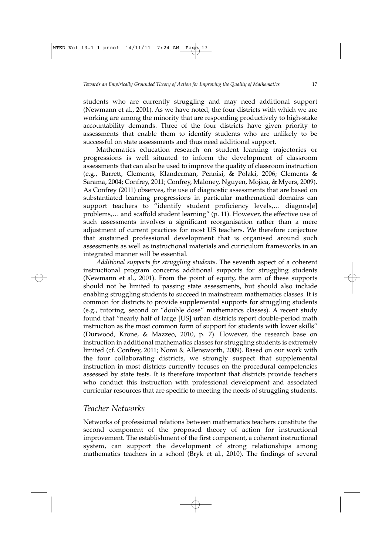students who are currently struggling and may need additional support (Newmann et al., 2001). As we have noted, the four districts with which we are working are among the minority that are responding productively to high-stake accountability demands. Three of the four districts have given priority to assessments that enable them to identify students who are unlikely to be successful on state assessments and thus need additional support.

Mathematics education research on student learning trajectories or progressions is well situated to inform the development of classroom assessments that can also be used to improve the quality of classroom instruction (e.g., Barrett, Clements, Klanderman, Pennisi, & Polaki, 2006; Clements & Sarama, 2004; Confrey, 2011; Confrey, Maloney, Nguyen, Mojica, & Myers, 2009). As Confrey (2011) observes, the use of diagnostic assessments that are based on substantiated learning progressions in particular mathematical domains can support teachers to "identify student proficiency levels,... diagnos[e] problems,… and scaffold student learning" (p. 11). However, the effective use of such assessments involves a significant reorganisation rather than a mere adjustment of current practices for most US teachers. We therefore conjecture that sustained professional development that is organised around such assessments as well as instructional materials and curriculum frameworks in an integrated manner will be essential.

*Additional supports for struggling students*. The seventh aspect of a coherent instructional program concerns additional supports for struggling students (Newmann et al., 2001). From the point of equity, the aim of these supports should not be limited to passing state assessments, but should also include enabling struggling students to succeed in mainstream mathematics classes. It is common for districts to provide supplemental supports for struggling students (e.g., tutoring, second or "double dose" mathematics classes). A recent study found that "nearly half of large [US] urban districts report double-period math instruction as the most common form of support for students with lower skills" (Durwood, Krone, & Mazzeo, 2010, p. 7). However, the research base on instruction in additional mathematics classes for struggling students is extremely limited (cf. Confrey, 2011; Nomi & Allensworth, 2009). Based on our work with the four collaborating districts, we strongly suspect that supplemental instruction in most districts currently focuses on the procedural competencies assessed by state tests. It is therefore important that districts provide teachers who conduct this instruction with professional development and associated curricular resources that are specific to meeting the needs of struggling students.

### *Teacher Networks*

Networks of professional relations between mathematics teachers constitute the second component of the proposed theory of action for instructional improvement. The establishment of the first component, a coherent instructional system, can support the development of strong relationships among mathematics teachers in a school (Bryk et al., 2010). The findings of several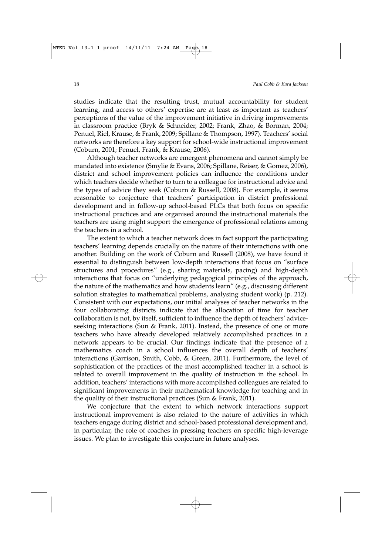studies indicate that the resulting trust, mutual accountability for student learning, and access to others' expertise are at least as important as teachers' perceptions of the value of the improvement initiative in driving improvements in classroom practice (Bryk & Schneider, 2002; Frank, Zhao, & Borman, 2004; Penuel, Riel, Krause, & Frank, 2009; Spillane & Thompson, 1997). Teachers' social networks are therefore a key support for school-wide instructional improvement (Coburn, 2001; Penuel, Frank, & Krause, 2006).

Although teacher networks are emergent phenomena and cannot simply be mandated into existence (Smylie & Evans, 2006; Spillane, Reiser, & Gomez, 2006), district and school improvement policies can influence the conditions under which teachers decide whether to turn to a colleague for instructional advice and the types of advice they seek (Coburn & Russell, 2008). For example, it seems reasonable to conjecture that teachers' participation in district professional development and in follow-up school-based PLCs that both focus on specific instructional practices and are organised around the instructional materials the teachers are using might support the emergence of professional relations among the teachers in a school.

The extent to which a teacher network does in fact support the participating teachers' learning depends crucially on the nature of their interactions with one another. Building on the work of Coburn and Russell (2008), we have found it essential to distinguish between low-depth interactions that focus on "surface structures and procedures" (e.g., sharing materials, pacing) and high-depth interactions that focus on "underlying pedagogical principles of the approach, the nature of the mathematics and how students learn" (e.g., discussing different solution strategies to mathematical problems, analysing student work) (p. 212). Consistent with our expectations, our initial analyses of teacher networks in the four collaborating districts indicate that the allocation of time for teacher collaboration is not, by itself, sufficient to influence the depth of teachers' adviceseeking interactions (Sun & Frank, 2011). Instead, the presence of one or more teachers who have already developed relatively accomplished practices in a network appears to be crucial. Our findings indicate that the presence of a mathematics coach in a school influences the overall depth of teachers' interactions (Garrison, Smith, Cobb, & Green, 2011). Furthermore, the level of sophistication of the practices of the most accomplished teacher in a school is related to overall improvement in the quality of instruction in the school. In addition, teachers' interactions with more accomplished colleagues are related to significant improvements in their mathematical knowledge for teaching and in the quality of their instructional practices (Sun & Frank, 2011).

We conjecture that the extent to which network interactions support instructional improvement is also related to the nature of activities in which teachers engage during district and school-based professional development and, in particular, the role of coaches in pressing teachers on specific high-leverage issues. We plan to investigate this conjecture in future analyses.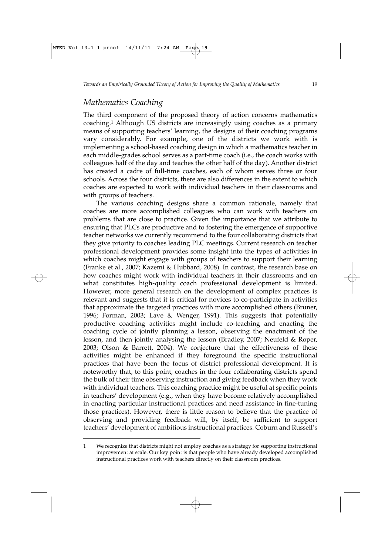### *Mathematics Coaching*

The third component of the proposed theory of action concerns mathematics coaching.1 Although US districts are increasingly using coaches as a primary means of supporting teachers' learning, the designs of their coaching programs vary considerably. For example, one of the districts we work with is implementing a school-based coaching design in which a mathematics teacher in each middle-grades school serves as a part-time coach (i.e., the coach works with colleagues half of the day and teaches the other half of the day). Another district has created a cadre of full-time coaches, each of whom serves three or four schools. Across the four districts, there are also differences in the extent to which coaches are expected to work with individual teachers in their classrooms and with groups of teachers.

The various coaching designs share a common rationale, namely that coaches are more accomplished colleagues who can work with teachers on problems that are close to practice. Given the importance that we attribute to ensuring that PLCs are productive and to fostering the emergence of supportive teacher networks we currently recommend to the four collaborating districts that they give priority to coaches leading PLC meetings. Current research on teacher professional development provides some insight into the types of activities in which coaches might engage with groups of teachers to support their learning (Franke et al., 2007; Kazemi & Hubbard, 2008). In contrast, the research base on how coaches might work with individual teachers in their classrooms and on what constitutes high-quality coach professional development is limited. However, more general research on the development of complex practices is relevant and suggests that it is critical for novices to co-participate in activities that approximate the targeted practices with more accomplished others (Bruner, 1996; Forman, 2003; Lave & Wenger, 1991). This suggests that potentially productive coaching activities might include co-teaching and enacting the coaching cycle of jointly planning a lesson, observing the enactment of the lesson, and then jointly analysing the lesson (Bradley, 2007; Neufeld & Roper, 2003; Olson & Barrett, 2004). We conjecture that the effectiveness of these activities might be enhanced if they foreground the specific instructional practices that have been the focus of district professional development. It is noteworthy that, to this point, coaches in the four collaborating districts spend the bulk of their time observing instruction and giving feedback when they work with individual teachers. This coaching practice might be useful at specific points in teachers' development (e.g., when they have become relatively accomplished in enacting particular instructional practices and need assistance in fine-tuning those practices). However, there is little reason to believe that the practice of observing and providing feedback will, by itself, be sufficient to support teachers' development of ambitious instructional practices. Coburn and Russell's

<sup>1</sup> We recognize that districts might not employ coaches as a strategy for supporting instructional improvement at scale. Our key point is that people who have already developed accomplished instructional practices work with teachers directly on their classroom practices.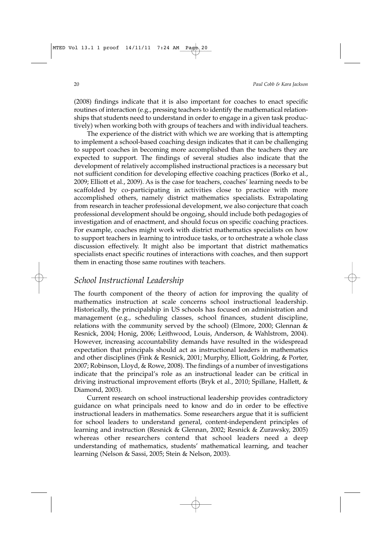(2008) findings indicate that it is also important for coaches to enact specific routines of interaction (e.g., pressing teachers to identify the mathematical relationships that students need to understand in order to engage in a given task productively) when working both with groups of teachers and with individual teachers.

The experience of the district with which we are working that is attempting to implement a school-based coaching design indicates that it can be challenging to support coaches in becoming more accomplished than the teachers they are expected to support. The findings of several studies also indicate that the development of relatively accomplished instructional practices is a necessary but not sufficient condition for developing effective coaching practices (Borko et al., 2009; Elliott et al., 2009). As is the case for teachers, coaches' learning needs to be scaffolded by co-participating in activities close to practice with more accomplished others, namely district mathematics specialists. Extrapolating from research in teacher professional development, we also conjecture that coach professional development should be ongoing, should include both pedagogies of investigation and of enactment, and should focus on specific coaching practices. For example, coaches might work with district mathematics specialists on how to support teachers in learning to introduce tasks, or to orchestrate a whole class discussion effectively. It might also be important that district mathematics specialists enact specific routines of interactions with coaches, and then support them in enacting those same routines with teachers.

### *School Instructional Leadership*

The fourth component of the theory of action for improving the quality of mathematics instruction at scale concerns school instructional leadership. Historically, the principalship in US schools has focused on administration and management (e.g., scheduling classes, school finances, student discipline, relations with the community served by the school) (Elmore, 2000; Glennan & Resnick, 2004; Honig, 2006; Leithwood, Louis, Anderson, & Wahlstrom, 2004). However, increasing accountability demands have resulted in the widespread expectation that principals should act as instructional leaders in mathematics and other disciplines (Fink & Resnick, 2001; Murphy, Elliott, Goldring, & Porter, 2007; Robinson, Lloyd, & Rowe, 2008). The findings of a number of investigations indicate that the principal's role as an instructional leader can be critical in driving instructional improvement efforts (Bryk et al., 2010; Spillane, Hallett, & Diamond, 2003).

Current research on school instructional leadership provides contradictory guidance on what principals need to know and do in order to be effective instructional leaders in mathematics. Some researchers argue that it is sufficient for school leaders to understand general, content-independent principles of learning and instruction (Resnick & Glennan, 2002; Resnick & Zurawsky, 2005) whereas other researchers contend that school leaders need a deep understanding of mathematics, students' mathematical learning, and teacher learning (Nelson & Sassi, 2005; Stein & Nelson, 2003).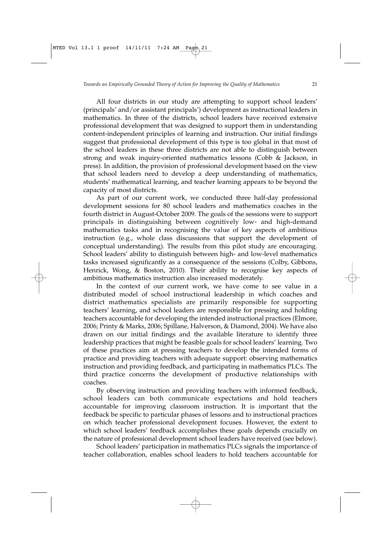All four districts in our study are attempting to support school leaders' (principals' and/or assistant principals') development as instructional leaders in mathematics. In three of the districts, school leaders have received extensive professional development that was designed to support them in understanding content-independent principles of learning and instruction. Our initial findings suggest that professional development of this type is too global in that most of the school leaders in these three districts are not able to distinguish between strong and weak inquiry-oriented mathematics lessons (Cobb & Jackson, in press). In addition, the provision of professional development based on the view that school leaders need to develop a deep understanding of mathematics, students' mathematical learning, and teacher learning appears to be beyond the capacity of most districts.

As part of our current work, we conducted three half-day professional development sessions for 80 school leaders and mathematics coaches in the fourth district in August-October 2009. The goals of the sessions were to support principals in distinguishing between cognitively low- and high-demand mathematics tasks and in recognising the value of key aspects of ambitious instruction (e.g., whole class discussions that support the development of conceptual understanding). The results from this pilot study are encouraging. School leaders' ability to distinguish between high- and low-level mathematics tasks increased significantly as a consequence of the sessions (Colby, Gibbons, Henrick, Wong, & Boston, 2010). Their ability to recognise key aspects of ambitious mathematics instruction also increased moderately.

In the context of our current work, we have come to see value in a distributed model of school instructional leadership in which coaches and district mathematics specialists are primarily responsible for supporting teachers' learning, and school leaders are responsible for pressing and holding teachers accountable for developing the intended instructional practices (Elmore, 2006; Printy & Marks, 2006; Spillane, Halverson, & Diamond, 2004). We have also drawn on our initial findings and the available literature to identify three leadership practices that might be feasible goals for school leaders' learning. Two of these practices aim at pressing teachers to develop the intended forms of practice and providing teachers with adequate support: observing mathematics instruction and providing feedback, and participating in mathematics PLCs. The third practice concerns the development of productive relationships with coaches.

By observing instruction and providing teachers with informed feedback, school leaders can both communicate expectations and hold teachers accountable for improving classroom instruction. It is important that the feedback be specific to particular phases of lessons and to instructional practices on which teacher professional development focuses. However, the extent to which school leaders' feedback accomplishes these goals depends crucially on the nature of professional development school leaders have received (see below).

School leaders' participation in mathematics PLCs signals the importance of teacher collaboration, enables school leaders to hold teachers accountable for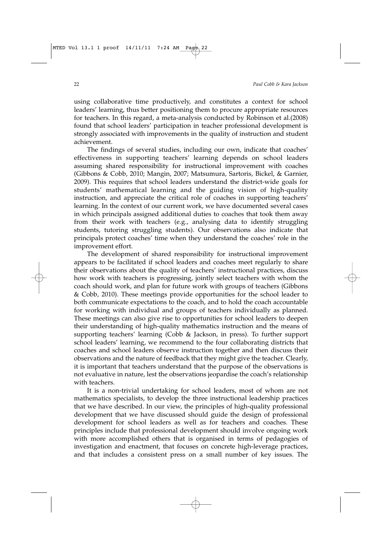using collaborative time productively, and constitutes a context for school leaders' learning, thus better positioning them to procure appropriate resources for teachers. In this regard, a meta-analysis conducted by Robinson et al.(2008) found that school leaders' participation in teacher professional development is strongly associated with improvements in the quality of instruction and student achievement.

The findings of several studies, including our own, indicate that coaches' effectiveness in supporting teachers' learning depends on school leaders assuming shared responsibility for instructional improvement with coaches (Gibbons & Cobb, 2010; Mangin, 2007; Matsumura, Sartoris, Bickel, & Garnier, 2009). This requires that school leaders understand the district-wide goals for students' mathematical learning and the guiding vision of high-quality instruction, and appreciate the critical role of coaches in supporting teachers' learning. In the context of our current work, we have documented several cases in which principals assigned additional duties to coaches that took them away from their work with teachers (e.g., analysing data to identify struggling students, tutoring struggling students). Our observations also indicate that principals protect coaches' time when they understand the coaches' role in the improvement effort.

The development of shared responsibility for instructional improvement appears to be facilitated if school leaders and coaches meet regularly to share their observations about the quality of teachers' instructional practices, discuss how work with teachers is progressing, jointly select teachers with whom the coach should work, and plan for future work with groups of teachers (Gibbons & Cobb, 2010). These meetings provide opportunities for the school leader to both communicate expectations to the coach, and to hold the coach accountable for working with individual and groups of teachers individually as planned. These meetings can also give rise to opportunities for school leaders to deepen their understanding of high-quality mathematics instruction and the means of supporting teachers' learning (Cobb & Jackson, in press). To further support school leaders' learning, we recommend to the four collaborating districts that coaches and school leaders observe instruction together and then discuss their observations and the nature of feedback that they might give the teacher. Clearly, it is important that teachers understand that the purpose of the observations is not evaluative in nature, lest the observations jeopardise the coach's relationship with teachers.

It is a non-trivial undertaking for school leaders, most of whom are not mathematics specialists, to develop the three instructional leadership practices that we have described. In our view, the principles of high-quality professional development that we have discussed should guide the design of professional development for school leaders as well as for teachers and coaches. These principles include that professional development should involve ongoing work with more accomplished others that is organised in terms of pedagogies of investigation and enactment, that focuses on concrete high-leverage practices, and that includes a consistent press on a small number of key issues. The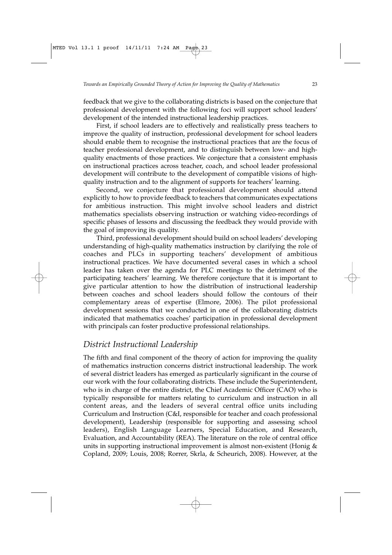feedback that we give to the collaborating districts is based on the conjecture that professional development with the following foci will support school leaders' development of the intended instructional leadership practices.

First, if school leaders are to effectively and realistically press teachers to improve the quality of instruction, professional development for school leaders should enable them to recognise the instructional practices that are the focus of teacher professional development, and to distinguish between low- and highquality enactments of those practices. We conjecture that a consistent emphasis on instructional practices across teacher, coach, and school leader professional development will contribute to the development of compatible visions of highquality instruction and to the alignment of supports for teachers' learning.

Second, we conjecture that professional development should attend explicitly to how to provide feedback to teachers that communicates expectations for ambitious instruction. This might involve school leaders and district mathematics specialists observing instruction or watching video-recordings of specific phases of lessons and discussing the feedback they would provide with the goal of improving its quality.

Third, professional development should build on school leaders' developing understanding of high-quality mathematics instruction by clarifying the role of coaches and PLCs in supporting teachers' development of ambitious instructional practices. We have documented several cases in which a school leader has taken over the agenda for PLC meetings to the detriment of the participating teachers' learning. We therefore conjecture that it is important to give particular attention to how the distribution of instructional leadership between coaches and school leaders should follow the contours of their complementary areas of expertise (Elmore, 2006). The pilot professional development sessions that we conducted in one of the collaborating districts indicated that mathematics coaches' participation in professional development with principals can foster productive professional relationships.

### *District Instructional Leadership*

The fifth and final component of the theory of action for improving the quality of mathematics instruction concerns district instructional leadership. The work of several district leaders has emerged as particularly significant in the course of our work with the four collaborating districts. These include the Superintendent, who is in charge of the entire district, the Chief Academic Officer (CAO) who is typically responsible for matters relating to curriculum and instruction in all content areas, and the leaders of several central office units including Curriculum and Instruction (C&I, responsible for teacher and coach professional development), Leadership (responsible for supporting and assessing school leaders), English Language Learners, Special Education, and Research, Evaluation, and Accountability (REA). The literature on the role of central office units in supporting instructional improvement is almost non-existent (Honig & Copland, 2009; Louis, 2008; Rorrer, Skrla, & Scheurich, 2008). However, at the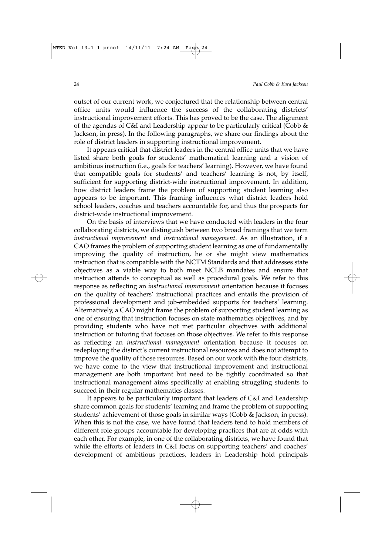outset of our current work, we conjectured that the relationship between central office units would influence the success of the collaborating districts' instructional improvement efforts. This has proved to be the case. The alignment of the agendas of C&I and Leadership appear to be particularly critical (Cobb & Jackson, in press). In the following paragraphs, we share our findings about the role of district leaders in supporting instructional improvement.

It appears critical that district leaders in the central office units that we have listed share both goals for students' mathematical learning and a vision of ambitious instruction (i.e., goals for teachers' learning). However, we have found that compatible goals for students' and teachers' learning is not, by itself, sufficient for supporting district-wide instructional improvement. In addition, how district leaders frame the problem of supporting student learning also appears to be important. This framing influences what district leaders hold school leaders, coaches and teachers accountable for, and thus the prospects for district-wide instructional improvement.

On the basis of interviews that we have conducted with leaders in the four collaborating districts, we distinguish between two broad framings that we term *instructional improvement* and *instructional management*. As an illustration, if a CAO frames the problem of supporting student learning as one of fundamentally improving the quality of instruction, he or she might view mathematics instruction that is compatible with the NCTM Standards and that addresses state objectives as a viable way to both meet NCLB mandates and ensure that instruction attends to conceptual as well as procedural goals. We refer to this response as reflecting an *instructional improvement* orientation because it focuses on the quality of teachers' instructional practices and entails the provision of professional development and job-embedded supports for teachers' learning. Alternatively, a CAO might frame the problem of supporting student learning as one of ensuring that instruction focuses on state mathematics objectives, and by providing students who have not met particular objectives with additional instruction or tutoring that focuses on those objectives. We refer to this response as reflecting an *instructional management* orientation because it focuses on redeploying the district's current instructional resources and does not attempt to improve the quality of those resources. Based on our work with the four districts, we have come to the view that instructional improvement and instructional management are both important but need to be tightly coordinated so that instructional management aims specifically at enabling struggling students to succeed in their regular mathematics classes.

It appears to be particularly important that leaders of C&I and Leadership share common goals for students' learning and frame the problem of supporting students' achievement of those goals in similar ways (Cobb & Jackson, in press). When this is not the case, we have found that leaders tend to hold members of different role groups accountable for developing practices that are at odds with each other. For example, in one of the collaborating districts, we have found that while the efforts of leaders in C&I focus on supporting teachers' and coaches' development of ambitious practices, leaders in Leadership hold principals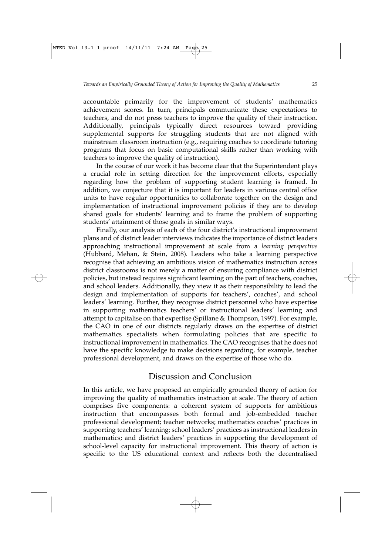accountable primarily for the improvement of students' mathematics achievement scores. In turn, principals communicate these expectations to teachers, and do not press teachers to improve the quality of their instruction. Additionally, principals typically direct resources toward providing supplemental supports for struggling students that are not aligned with mainstream classroom instruction (e.g., requiring coaches to coordinate tutoring programs that focus on basic computational skills rather than working with teachers to improve the quality of instruction).

In the course of our work it has become clear that the Superintendent plays a crucial role in setting direction for the improvement efforts, especially regarding how the problem of supporting student learning is framed. In addition, we conjecture that it is important for leaders in various central office units to have regular opportunities to collaborate together on the design and implementation of instructional improvement policies if they are to develop shared goals for students' learning and to frame the problem of supporting students' attainment of those goals in similar ways.

Finally, our analysis of each of the four district's instructional improvement plans and of district leader interviews indicates the importance of district leaders approaching instructional improvement at scale from a *learning perspective* (Hubbard, Mehan, & Stein, 2008). Leaders who take a learning perspective recognise that achieving an ambitious vision of mathematics instruction across district classrooms is not merely a matter of ensuring compliance with district policies, but instead requires significant learning on the part of teachers, coaches, and school leaders. Additionally, they view it as their responsibility to lead the design and implementation of supports for teachers', coaches', and school leaders' learning. Further, they recognise district personnel who have expertise in supporting mathematics teachers' or instructional leaders' learning and attempt to capitalise on that expertise (Spillane & Thompson, 1997). For example, the CAO in one of our districts regularly draws on the expertise of district mathematics specialists when formulating policies that are specific to instructional improvement in mathematics. The CAO recognises that he does not have the specific knowledge to make decisions regarding, for example, teacher professional development, and draws on the expertise of those who do.

### Discussion and Conclusion

In this article, we have proposed an empirically grounded theory of action for improving the quality of mathematics instruction at scale. The theory of action comprises five components: a coherent system of supports for ambitious instruction that encompasses both formal and job-embedded teacher professional development; teacher networks; mathematics coaches' practices in supporting teachers' learning; school leaders' practices as instructional leaders in mathematics; and district leaders' practices in supporting the development of school-level capacity for instructional improvement. This theory of action is specific to the US educational context and reflects both the decentralised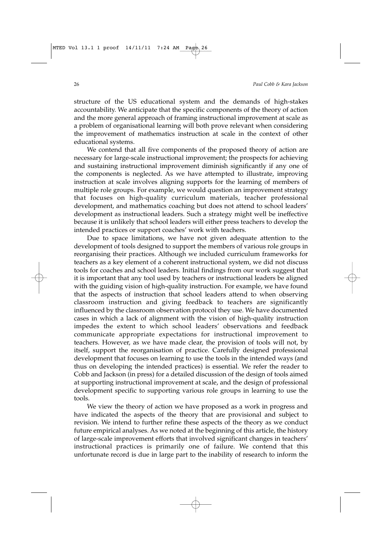structure of the US educational system and the demands of high-stakes accountability. We anticipate that the specific components of the theory of action and the more general approach of framing instructional improvement at scale as a problem of organisational learning will both prove relevant when considering the improvement of mathematics instruction at scale in the context of other educational systems.

We contend that all five components of the proposed theory of action are necessary for large-scale instructional improvement; the prospects for achieving and sustaining instructional improvement diminish significantly if any one of the components is neglected. As we have attempted to illustrate, improving instruction at scale involves aligning supports for the learning of members of multiple role groups. For example, we would question an improvement strategy that focuses on high-quality curriculum materials, teacher professional development, and mathematics coaching but does not attend to school leaders' development as instructional leaders. Such a strategy might well be ineffective because it is unlikely that school leaders will either press teachers to develop the intended practices or support coaches' work with teachers.

Due to space limitations, we have not given adequate attention to the development of tools designed to support the members of various role groups in reorganising their practices. Although we included curriculum frameworks for teachers as a key element of a coherent instructional system, we did not discuss tools for coaches and school leaders. Initial findings from our work suggest that it is important that any tool used by teachers or instructional leaders be aligned with the guiding vision of high-quality instruction. For example, we have found that the aspects of instruction that school leaders attend to when observing classroom instruction and giving feedback to teachers are significantly influenced by the classroom observation protocol they use. We have documented cases in which a lack of alignment with the vision of high-quality instruction impedes the extent to which school leaders' observations and feedback communicate appropriate expectations for instructional improvement to teachers. However, as we have made clear, the provision of tools will not, by itself, support the reorganisation of practice. Carefully designed professional development that focuses on learning to use the tools in the intended ways (and thus on developing the intended practices) is essential. We refer the reader to Cobb and Jackson (in press) for a detailed discussion of the design of tools aimed at supporting instructional improvement at scale, and the design of professional development specific to supporting various role groups in learning to use the tools.

We view the theory of action we have proposed as a work in progress and have indicated the aspects of the theory that are provisional and subject to revision. We intend to further refine these aspects of the theory as we conduct future empirical analyses. As we noted at the beginning of this article, the history of large-scale improvement efforts that involved significant changes in teachers' instructional practices is primarily one of failure. We contend that this unfortunate record is due in large part to the inability of research to inform the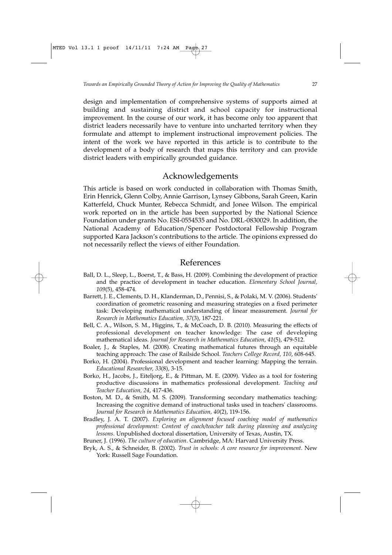design and implementation of comprehensive systems of supports aimed at building and sustaining district and school capacity for instructional improvement. In the course of our work, it has become only too apparent that district leaders necessarily have to venture into uncharted territory when they formulate and attempt to implement instructional improvement policies. The intent of the work we have reported in this article is to contribute to the development of a body of research that maps this territory and can provide district leaders with empirically grounded guidance.

### Acknowledgements

This article is based on work conducted in collaboration with Thomas Smith, Erin Henrick, Glenn Colby, Annie Garrison, Lynsey Gibbons, Sarah Green, Karin Katterfeld, Chuck Munter, Rebecca Schmidt, and Jonee Wilson. The empirical work reported on in the article has been supported by the National Science Foundation under grants No. ESI-0554535 and No. DRL-0830029. In addition, the National Academy of Education/Spencer Postdoctoral Fellowship Program supported Kara Jackson's contributions to the article. The opinions expressed do not necessarily reflect the views of either Foundation.

### References

- Ball, D. L., Sleep, L., Boerst, T., & Bass, H. (2009). Combining the development of practice and the practice of development in teacher education. *Elementary School Journal, 109*(5), 458-474.
- Barrett, J. E., Clements, D. H., Klanderman, D., Pennisi, S., & Polaki, M. V. (2006). Students' coordination of geometric reasoning and measuring strategies on a fixed perimeter task: Developing mathematical understanding of linear measurement. *Journal for Research in Mathematics Education, 37*(3), 187-221.
- Bell, C. A., Wilson, S. M., Higgins, T., & McCoach, D. B. (2010). Measuring the effects of professional development on teacher knowledge: The case of developing mathematical ideas. *Journal for Research in Mathematics Education, 41*(5), 479-512.
- Boaler, J., & Staples, M. (2008). Creating mathematical futures through an equitable teaching approach: The case of Railside School. *Teachers College Record, 110*, 608-645.
- Borko, H. (2004). Professional development and teacher learning: Mapping the terrain. *Educational Researcher, 33*(8), 3-15.
- Borko, H., Jacobs, J., Eiteljorg, E., & Pittman, M. E. (2009). Video as a tool for fostering productive discussions in mathematics professional development. *Teaching and Teacher Education, 24*, 417-436.
- Boston, M. D., & Smith, M. S. (2009). Transforming secondary mathematics teaching: Increasing the cognitive demand of instructional tasks used in teachers' classrooms. *Journal for Research in Mathematics Education, 40*(2), 119-156.
- Bradley, J. A. T. (2007). *Exploring an alignment focused coaching model of mathematics professional development: Content of coach/teacher talk during planning and analyzing lessons*. Unpublished doctoral dissertation, University of Texas, Austin, TX.

Bruner, J. (1996). *The culture of education*. Cambridge, MA: Harvard University Press.

Bryk, A. S., & Schneider, B. (2002). *Trust in schools: A core resource for improvement*. New York: Russell Sage Foundation.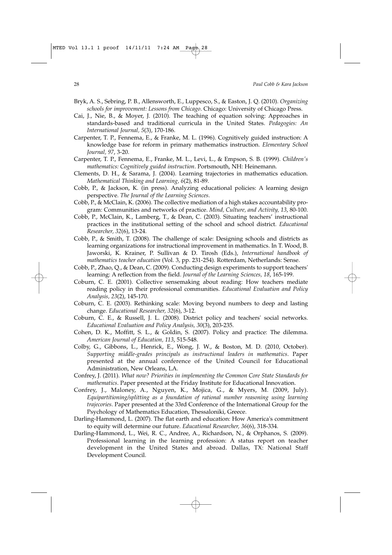- Bryk, A. S., Sebring, P. B., Allensworth, E., Luppesco, S., & Easton, J. Q. (2010). *Organizing schools for improvement: Lessons from Chicago*. Chicago: University of Chicago Press.
- Cai, J., Nie, B., & Moyer, J. (2010). The teaching of equation solving: Approaches in standards-based and traditional curricula in the United States. *Pedagogies: An International Journal, 5*(3), 170-186.
- Carpenter, T. P., Fennema, E., & Franke, M. L. (1996). Cognitively guided instruction: A knowledge base for reform in primary mathematics instruction. *Elementary School Journal, 97*, 3-20.
- Carpenter, T. P., Fennema, E., Franke, M. L., Levi, L., & Empson, S. B. (1999). *Children's mathematics: Cognitively guided instruction*. Portsmouth, NH: Heinemann.
- Clements, D. H., & Sarama, J. (2004). Learning trajectories in mathematics education. *Mathematical Thinking and Learning, 6*(2), 81-89.
- Cobb, P., & Jackson, K. (in press). Analyzing educational policies: A learning design perspective. *The Journal of the Learning Sciences*.
- Cobb, P., & McClain, K. (2006). The collective mediation of a high stakes accountability program: Communities and networks of practice. *Mind, Culture, and Activity, 13*, 80-100.
- Cobb, P., McClain, K., Lamberg, T., & Dean, C. (2003). Situating teachers' instructional practices in the institutional setting of the school and school district. *Educational Researcher, 32*(6), 13-24.
- Cobb, P., & Smith, T. (2008). The challenge of scale: Designing schools and districts as learning organizations for instructional improvement in mathematics. In T. Wood, B. Jaworski, K. Krainer, P. Sullivan & D. Tirosh (Eds.), *International handbook of mathematics teacher education* (Vol. 3, pp. 231-254). Rotterdam, Netherlands: Sense.
- Cobb, P., Zhao, Q., & Dean, C. (2009). Conducting design experiments to support teachers' learning: A reflection from the field. *Journal of the Learning Sciences, 18*, 165-199.
- Coburn, C. E. (2001). Collective sensemaking about reading: How teachers mediate reading policy in their professional communities. *Educational Evaluation and Policy Analysis, 23*(2), 145-170.
- Coburn, C. E. (2003). Rethinking scale: Moving beyond numbers to deep and lasting change. *Educational Researcher, 32*(6), 3-12.
- Coburn, C. E., & Russell, J. L. (2008). District policy and teachers' social networks. *Educational Evaluation and Policy Analysis, 30*(3), 203-235.
- Cohen, D. K., Moffitt, S. L., & Goldin, S. (2007). Policy and practice: The dilemma. *American Journal of Education, 113*, 515-548.
- Colby, G., Gibbons, L., Henrick, E., Wong, J. W., & Boston, M. D. (2010, October). *Supporting middle-grades principals as instructional leaders in mathematics*. Paper presented at the annual conference of the United Council for Educational Administration, New Orleans, LA.
- Confrey, J. (2011). *What now? Priorities in implementing the Common Core State Standards for mathematics*. Paper presented at the Friday Institute for Educational Innovation.
- Confrey, J., Maloney, A., Nguyen, K., Mojica, G., & Myers, M. (2009, July). *Equipartitioning/splitting as a foundation of rational number reasoning using learning trajecories*. Paper presented at the 33rd Conference of the International Group for the Psychology of Mathematics Education, Thessaloniki, Greece.
- Darling-Hammond, L. (2007). The flat earth and education: How America's commitment to equity will determine our future. *Educational Researcher, 36*(6), 318-334.
- Darling-Hammond, L., Wei, R. C., Andree, A., Richardson, N., & Orphanos, S. (2009). Professional learning in the learning profession: A status report on teacher development in the United States and abroad. Dallas, TX: National Staff Development Council.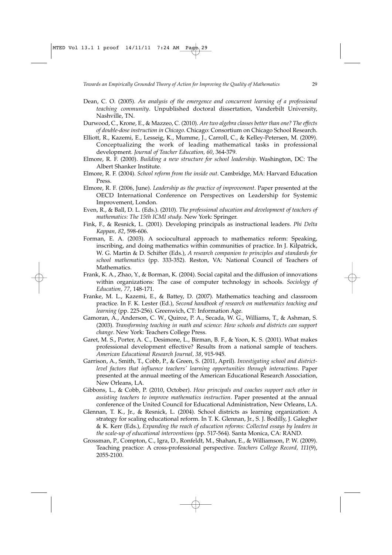- Dean, C. O. (2005). *An analysis of the emergence and concurrent learning of a professional teaching community*. Unpublished doctoral dissertation, Vanderbilt University, Nashville, TN.
- Durwood, C., Krone, E., & Mazzeo, C. (2010). *Are two algebra classes better than one? The effects of double-dose instruction in Chicago*. Chicago: Consortium on Chicago School Research.
- Elliott, R., Kazemi, E., Lesseig, K., Mumme, J., Carroll, C., & Kelley-Petersen, M. (2009). Conceptualizing the work of leading mathematical tasks in professional development. *Journal of Teacher Education, 60*, 364-379.
- Elmore, R. F. (2000). *Building a new structure for school leadership*. Washington, DC: The Albert Shanker Institute.
- Elmore, R. F. (2004). *School reform from the inside out*. Cambridge, MA: Harvard Education Press.
- Elmore, R. F. (2006, June). *Leadership as the practice of improvement*. Paper presented at the OECD International Conference on Perspectives on Leadership for Systemic Improvement, London.
- Even, R., & Ball, D. L. (Eds.). (2010). *The professional education and development of teachers of mathematics: The 15th ICMI study*. New York: Springer.
- Fink, F., & Resnick, L. (2001). Developing principals as instructional leaders. *Phi Delta Kappan, 82*, 598-606.
- Forman, E. A. (2003). A sociocultural approach to mathematics reform: Speaking, inscribing, and doing mathematics within communities of practice. In J. Kilpatrick, W. G. Martin & D. Schifter (Eds.), *A research companion to principles and standards for school mathematics* (pp. 333-352). Reston, VA: National Council of Teachers of Mathematics.
- Frank, K. A., Zhao, Y., & Borman, K. (2004). Social capital and the diffusion of innovations within organizations: The case of computer technology in schools. *Sociology of Education, 77*, 148-171.
- Franke, M. L., Kazemi, E., & Battey, D. (2007). Mathematics teaching and classroom practice. In F. K. Lester (Ed.), *Second handbook of research on mathematics teaching and learning* (pp. 225-256). Greenwich, CT: Information Age.
- Gamoran, A., Anderson, C. W., Quiroz, P. A., Secada, W. G., Williams, T., & Ashman, S. (2003). *Transforming teaching in math and science: How schools and districts can support change*. New York: Teachers College Press.
- Garet, M. S., Porter, A. C., Desimone, L., Birman, B. F., & Yoon, K. S. (2001). What makes professional development effective? Results from a national sample of teachers. *American Educational Research Journal, 38*, 915-945.
- Garrison, A., Smith, T., Cobb, P., & Green, S. (2011, April). *Investigating school and districtlevel factors that influence teachers' learning opportunities through interactions*. Paper presented at the annual meeting of the American Educational Research Association, New Orleans, LA.
- Gibbons, L., & Cobb, P. (2010, October). *How principals and coaches support each other in assisting teachers to improve mathematics instruction*. Paper presented at the annual conference of the United Council for Educational Administration, New Orleans, LA.
- Glennan, T. K., Jr., & Resnick, L. (2004). School districts as learning organization: A strategy for scaling educational reform. In T. K. Glennan, Jr., S. J. Bodilly, J. Galegher & K. Kerr (Eds.), *Expanding the reach of education reforms: Collected essays by leaders in the scale-up of educational interventions* (pp. 517-564). Santa Monica, CA: RAND.
- Grossman, P., Compton, C., Igra, D., Ronfeldt, M., Shahan, E., & Williamson, P. W. (2009). Teaching practice: A cross-professional perspective. *Teachers College Record, 111*(9), 2055-2100.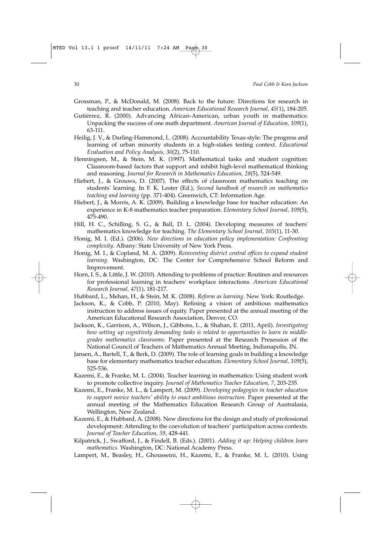- Grossman, P., & McDonald, M. (2008). Back to the future: Directions for research in teaching and teacher education. *American Educational Research Journal, 45(*1), 184-205.
- Gutiérrez, R. (2000). Advancing African-American, urban youth in mathematics: Unpacking the success of one math department. *American Journal of Education, 109*(1), 63-111.
- Heilig, J. V., & Darling-Hammond, L. (2008). Accountability Texas-style: The progress and learning of urban minority students in a high-stakes testing context. *Educational Evaluation and Policy Analysis, 30*(2), 75-110.
- Henningsen, M., & Stein, M. K. (1997). Mathematical tasks and student cognition: Classroom-based factors that support and inhibit high-level mathematical thinking and reasoning. *Journal for Research in Mathematics Education, 28*(5), 524-549.
- Hiebert, J., & Grouws, D. (2007). The effects of classroom mathematics teaching on students' learning. In F. K. Lester (Ed.), *Second handbook of research on mathematics teaching and learning* (pp. 371-404). Greenwich, CT: Information Age.
- Hiebert, J., & Morris, A. K. (2009). Building a knowledge base for teacher education: An experience in K-8 mathematics teacher preparation. *Elementary School Journal, 109*(5), 475-490.
- Hill, H. C., Schilling, S. G., & Ball, D. L. (2004). Developing measures of teachers' mathematics knowledge for teaching. *The Elementary School Journal, 105*(1), 11-30.
- Honig, M. I. (Ed.). (2006). *New directions in education policy implementation: Confronting complexity*. Albany: State University of New York Press.
- Honig, M. I., & Copland, M. A. (2009). *Reinventing district central offices to expand student learning*. Washington, DC: The Center for Comprehensive School Reform and Improvement.
- Horn, I. S., & Little, J. W. (2010). Attending to problems of practice: Routines and resources for professional learning in teachers' workplace interactions. *American Educational Research Journal, 47*(1), 181-217.
- Hubbard, L., Mehan, H., & Stein, M. K. (2008). *Reform as learning*. New York: Routledge.
- Jackson, K., & Cobb, P. (2010, May). Refining a vision of ambitious mathematics instruction to address issues of equity. Paper presented at the annual meeting of the American Educational Research Association, Denver, CO.
- Jackson, K., Garrison, A., Wilson, J., Gibbons, L., & Shahan, E. (2011, April). *Investigating how setting up cognitively demanding tasks is related to opportunities to learn in middlegrades mathematics classrooms*. Paper presented at the Research Presession of the National Council of Teachers of Mathematics Annual Meeting, Indianapolis, IN.
- Jansen, A., Bartell, T., & Berk, D. (2009). The role of learning goals in building a knowledge base for elementary mathematics teacher education. *Elementary School Journal, 109*(5), 525-536.
- Kazemi, E., & Franke, M. L. (2004). Teacher learning in mathematics: Using student work to promote collective inquiry. *Journal of Mathematics Teacher Education, 7*, 203-235.
- Kazemi, E., Franke, M. L., & Lampert, M. (2009). *Developing pedagogies in teacher education to support novice teachers' ability to enact ambitious instruction*. Paper presented at the annual meeting of the Mathematics Education Research Group of Australasia, Wellington, New Zealand.
- Kazemi, E., & Hubbard, A. (2008). New directions for the design and study of professional development: Attending to the coevolution of teachers' participation across contexts. *Journal of Teacher Education, 59*, 428-441.
- Kilpatrick, J., Swafford, J., & Findell, B. (Eds.). (2001). *Adding it up: Helping children learn mathematics*. Washington, DC: National Academy Press.
- Lampert, M., Beasley, H., Ghousseini, H., Kazemi, E., & Franke, M. L. (2010). Using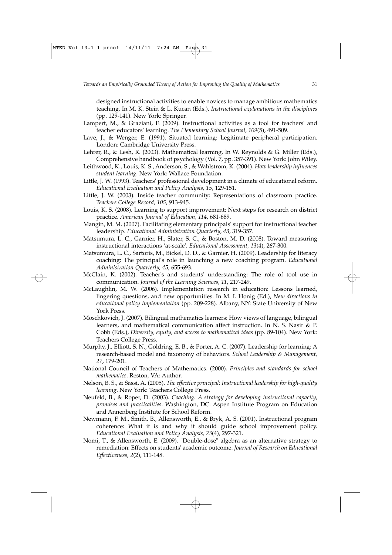designed instructional activities to enable novices to manage ambitious mathematics teaching. In M. K. Stein & L. Kucan (Eds.), *Instructional explanations in the disciplines* (pp. 129-141). New York: Springer.

- Lampert, M., & Graziani, F. (2009). Instructional activities as a tool for teachers' and teacher educators' learning. *The Elementary School Journal, 109*(5), 491-509.
- Lave, J., & Wenger, E. (1991). Situated learning: Legitimate peripheral participation. London: Cambridge University Press.
- Lehrer, R., & Lesh, R. (2003). Mathematical learning. In W. Reynolds & G. Miller (Eds.), Comprehensive handbook of psychology (Vol. 7, pp. 357-391). New York: John Wiley.
- Leithwood, K., Louis, K. S., Anderson, S., & Wahlstrom, K. (2004). *How leadership influences student learning*. New York: Wallace Foundation.
- Little, J. W. (1993). Teachers' professional development in a climate of educational reform. *Educational Evaluation and Policy Analysis, 15*, 129-151.
- Little, J. W. (2003). Inside teacher community: Representations of classroom practice. *Teachers College Record, 105*, 913-945.
- Louis, K. S. (2008). Learning to support improvement: Next steps for research on district practice. *American Journal of Education, 114*, 681-689.
- Mangin, M. M. (2007). Facilitating elementary principals' support for instructional teacher leadership. *Educational Administration Quarterly, 43*, 319-357.
- Matsumura, L. C., Garnier, H., Slater, S. C., & Boston, M. D. (2008). Toward measuring instructional interactions 'at-scale'. *Educational Assessment, 13*(4), 267-300.
- Matsumura, L. C., Sartoris, M., Bickel, D. D., & Garnier, H. (2009). Leadership for literacy coaching: The principal's role in launching a new coaching program. *Educational Administration Quarterly, 45*, 655-693.
- McClain, K. (2002). Teacher's and students' understanding: The role of tool use in communication. *Journal of the Learning Sciences, 11*, 217-249.
- McLaughlin, M. W. (2006). Implementation research in education: Lessons learned, lingering questions, and new opportunities. In M. I. Honig (Ed.), *New directions in educational policy implementation* (pp. 209-228). Albany, NY: State University of New York Press.
- Moschkovich, J. (2007). Bilingual mathematics learners: How views of language, bilingual learners, and mathematical communication affect instruction. In N. S. Nasir & P. Cobb (Eds.), *Diversity, equity, and access to mathematical ideas* (pp. 89-104). New York: Teachers College Press.
- Murphy, J., Elliott, S. N., Goldring, E. B., & Porter, A. C. (2007). Leadership for learning: A research-based model and taxonomy of behaviors. *School Leadership & Management, 27*, 179-201.
- National Council of Teachers of Mathematics. (2000). *Principles and standards for school mathematics*. Reston, VA: Author.
- Nelson, B. S., & Sassi, A. (2005). *The effective principal: Instructional leadership for high-quality learning*. New York: Teachers College Press.
- Neufeld, B., & Roper, D. (2003). *Coaching: A strategy for developing instructional capacity, promises and practicalities*. Washington, DC: Aspen Institute Program on Education and Annenberg Institute for School Reform.
- Newmann, F. M., Smith, B., Allensworth, E., & Bryk, A. S. (2001). Instructional program coherence: What it is and why it should guide school improvement policy. *Educational Evaluation and Policy Analysis, 23*(4), 297-321.
- Nomi, T., & Allensworth, E. (2009). "Double-dose" algebra as an alternative strategy to remediation: Effects on students' academic outcome. *Journal of Research on Educational Effectiveness, 2*(2), 111-148.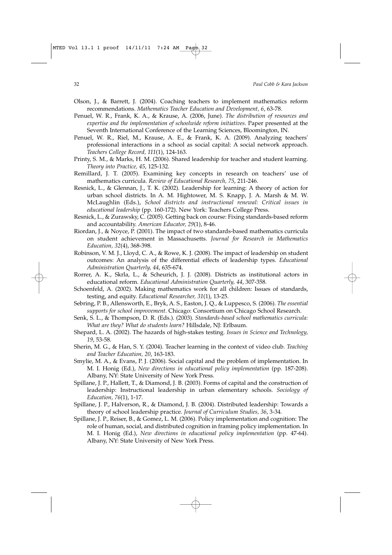- Olson, J., & Barrett, J. (2004). Coaching teachers to implement mathematics reform recommendations. *Mathematics Teacher Education and Development, 6*, 63-78.
- Penuel, W. R., Frank, K. A., & Krause, A. (2006, June). *The distribution of resources and expertise and the implementation of schoolwide reform initiatives*. Paper presented at the Seventh International Conference of the Learning Sciences, Bloomington, IN.
- Penuel, W. R., Riel, M., Krause, A. E., & Frank, K. A. (2009). Analyzing teachers' professional interactions in a school as social capital: A social network approach. *Teachers College Record, 111*(1), 124-163.
- Printy, S. M., & Marks, H. M. (2006). Shared leadership for teacher and student learning. *Theory into Practice, 45*, 125-132.
- Remillard, J. T. (2005). Examining key concepts in research on teachers' use of mathematics curricula. *Review of Educational Research, 75*, 211-246.
- Resnick, L., & Glennan, J., T. K. (2002). Leadership for learning: A theory of action for urban school districts. In A. M. Hightower, M. S. Knapp, J. A. Marsh & M. W. McLaughlin (Eds.), *School districts and instructional renewal: Critical issues in educational leadership* (pp. 160-172). New York: Teachers College Press.
- Resnick, L., & Zurawsky, C. (2005). Getting back on course: Fixing standards-based reform and accountability. *American Educator, 29*(1), 8-46.
- Riordan, J., & Noyce, P. (2001). The impact of two standards-based mathematics curricula on student achievement in Massachusetts. *Journal for Research in Mathematics Education, 32*(4), 368-398.
- Robinson, V. M. J., Lloyd, C. A., & Rowe, K. J. (2008). The impact of leadership on student outcomes: An analysis of the differential effects of leadership types. *Educational Administration Quarterly, 44*, 635-674.
- Rorrer, A. K., Skrla, L., & Scheurich, J. J. (2008). Districts as institutional actors in educational reform. *Educational Administration Quarterly, 44*, 307-358.
- Schoenfeld, A. (2002). Making mathematics work for all children: Issues of standards, testing, and equity. *Educational Researcher, 31*(1), 13-25.
- Sebring, P. B., Allensworth, E., Bryk, A. S., Easton, J. Q., & Luppesco, S. (2006). *The essential supports for school improvement*. Chicago: Consortium on Chicago School Research.
- Senk, S. L., & Thompson, D. R. (Eds.). (2003). *Standards-based school mathematics curricula: What are they? What do students learn?* Hillsdale, NJ: Erlbaum.
- Shepard, L. A. (2002). The hazards of high-stakes testing. *Issues in Science and Technology, 19*, 53-58.
- Sherin, M. G., & Han, S. Y. (2004). Teacher learning in the context of video club. *Teaching and Teacher Education, 20*, 163-183.
- Smylie, M. A., & Evans, P. J. (2006). Social capital and the problem of implementation. In M. I. Honig (Ed.), *New directions in educational policy implementation* (pp. 187-208). Albany, NY: State University of New York Press.
- Spillane, J. P., Hallett, T., & Diamond, J. B. (2003). Forms of capital and the construction of leadership: Instructional leadership in urban elementary schools. *Sociology of Education, 76*(1), 1-17.
- Spillane, J. P., Halverson, R., & Diamond, J. B. (2004). Distributed leadership: Towards a theory of school leadership practice. *Journal of Curriculum Studies, 36*, 3-34.
- Spillane, J. P., Reiser, B., & Gomez, L. M. (2006). Policy implementation and cognition: The role of human, social, and distributed cognition in framing policy implementation. In M. I. Honig (Ed.), *New directions in educational policy implementation* (pp. 47-64). Albany, NY: State University of New York Press.